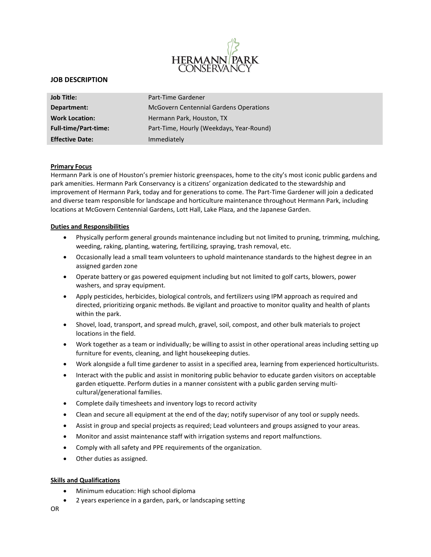

# **JOB DESCRIPTION**

| Job Title:                  | Part-Time Gardener                            |
|-----------------------------|-----------------------------------------------|
| Department:                 | <b>McGovern Centennial Gardens Operations</b> |
| <b>Work Location:</b>       | Hermann Park, Houston, TX                     |
| <b>Full-time/Part-time:</b> | Part-Time, Hourly (Weekdays, Year-Round)      |
| <b>Effective Date:</b>      | Immediately                                   |

### **Primary Focus**

Hermann Park is one of Houston's premier historic greenspaces, home to the city's most iconic public gardens and park amenities. Hermann Park Conservancy is a citizens' organization dedicated to the stewardship and improvement of Hermann Park, today and for generations to come. The Part-Time Gardener will join a dedicated and diverse team responsible for landscape and horticulture maintenance throughout Hermann Park, including locations at McGovern Centennial Gardens, Lott Hall, Lake Plaza, and the Japanese Garden.

#### **Duties and Responsibilities**

- Physically perform general grounds maintenance including but not limited to pruning, trimming, mulching, weeding, raking, planting, watering, fertilizing, spraying, trash removal, etc.
- Occasionally lead a small team volunteers to uphold maintenance standards to the highest degree in an assigned garden zone
- Operate battery or gas powered equipment including but not limited to golf carts, blowers, power washers, and spray equipment.
- Apply pesticides, herbicides, biological controls, and fertilizers using IPM approach as required and directed, prioritizing organic methods. Be vigilant and proactive to monitor quality and health of plants within the park.
- Shovel, load, transport, and spread mulch, gravel, soil, compost, and other bulk materials to project locations in the field.
- Work together as a team or individually; be willing to assist in other operational areas including setting up furniture for events, cleaning, and light housekeeping duties.
- Work alongside a full time gardener to assist in a specified area, learning from experienced horticulturists.
- Interact with the public and assist in monitoring public behavior to educate garden visitors on acceptable garden etiquette. Perform duties in a manner consistent with a public garden serving multicultural/generational families.
- Complete daily timesheets and inventory logs to record activity
- Clean and secure all equipment at the end of the day; notify supervisor of any tool or supply needs.
- Assist in group and special projects as required; Lead volunteers and groups assigned to your areas.
- Monitor and assist maintenance staff with irrigation systems and report malfunctions.
- Comply with all safety and PPE requirements of the organization.
- Other duties as assigned.

### **Skills and Qualifications**

- Minimum education: High school diploma
- 2 years experience in a garden, park, or landscaping setting
- OR